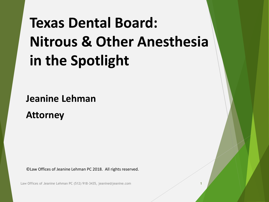## **Texas Dental Board: Nitrous & Other Anesthesia in the Spotlight**

**Jeanine Lehman**

**Attorney**

©Law Offices of Jeanine Lehman PC 2018. All rights reserved.

Law Offices of Jeanine Lehman PC (512) 918-3435, jeanine@jeanine.com 1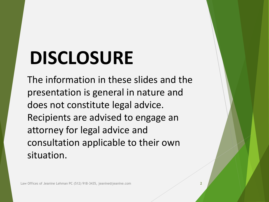# **DISCLOSURE**

The information in these slides and the presentation is general in nature and does not constitute legal advice. Recipients are advised to engage an attorney for legal advice and consultation applicable to their own situation.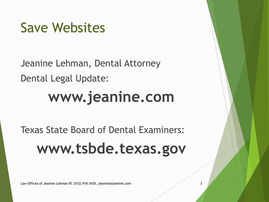## Save Websites

Jeanine Lehman, Dental Attorney Dental Legal Update:

## **www.jeanine.com**

## Texas State Board of Dental Examiners: **www.tsbde.texas.gov**

Law Offices of Jeanine Lehman PC (512) 918-3435, jeanine@jeanine.com 3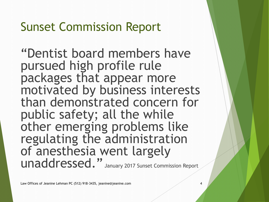#### Sunset Commission Report

"Dentist board members have pursued high profile rule packages that appear more motivated by business interests than demonstrated concern for public safety; all the while other emerging problems like regulating the administration of anesthesia went largely unaddressed." January 2017 Sunset Commission Report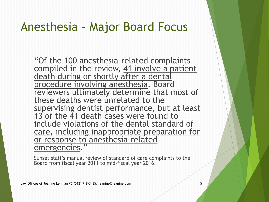#### Anesthesia – Major Board Focus

"Of the 100 anesthesia-related complaints compiled in the review, 41 involve a patient death during or shortly after a dental procedure involving anesthesia. Board reviewers ultimately determine that most of these deaths were unrelated to the supervising dentist performance, but at least 13 of the 41 death cases were found to include violations of the dental standard of care, including inappropriate preparation for or response to anesthesia-related emergencies."

Sunset staff's manual review of standard of care complaints to the Board from fiscal year 2011 to mid-fiscal year 2016.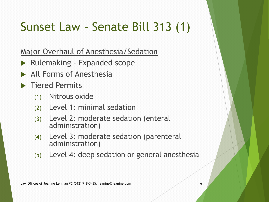### Sunset Law – Senate Bill 313 (1)

Major Overhaul of Anesthesia/Sedation

- ▶ Rulemaking Expanded scope
- All Forms of Anesthesia
- **Tiered Permits** 
	- (1) Nitrous oxide
	- (2) Level 1: minimal sedation
	- (3) Level 2: moderate sedation (enteral administration)
	- (4) Level 3: moderate sedation (parenteral administration)
	- (5) Level 4: deep sedation or general anesthesia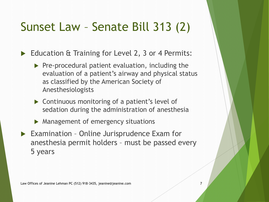### Sunset Law – Senate Bill 313 (2)

Education & Training for Level 2, 3 or 4 Permits:

- $\triangleright$  Pre-procedural patient evaluation, including the evaluation of a patient's airway and physical status as classified by the American Society of Anesthesiologists
- ▶ Continuous monitoring of a patient's level of sedation during the administration of anesthesia
- **Management of emergency situations**
- ▶ Examination Online Jurisprudence Exam for anesthesia permit holders – must be passed every 5 years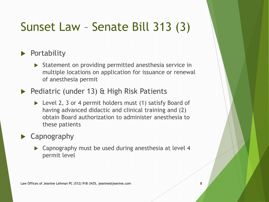### Sunset Law – Senate Bill 313 (3)

#### $\blacktriangleright$  Portability

- Statement on providing permitted anesthesia service in multiple locations on application for issuance or renewal of anesthesia permit
- ▶ Pediatric (under 13) & High Risk Patients
	- ▶ Level 2, 3 or 4 permit holders must (1) satisfy Board of having advanced didactic and clinical training and (2) obtain Board authorization to administer anesthesia to these patients

#### ▶ Capnography

▶ Capnography must be used during anesthesia at level 4 permit level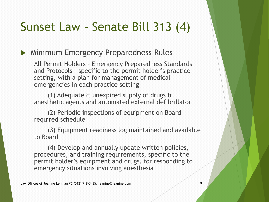#### Sunset Law – Senate Bill 313 (4)

#### **Minimum Emergency Preparedness Rules**

All Permit Holders – Emergency Preparedness Standards and Protocols - specific to the permit holder's practice setting, with a plan for management of medical emergencies in each practice setting

(1) Adequate & unexpired supply of drugs & anesthetic agents and automated external defibrillator

(2) Periodic inspections of equipment on Board required schedule

(3) Equipment readiness log maintained and available to Board

(4) Develop and annually update written policies, procedures, and training requirements, specific to the permit holder's equipment and drugs, for responding to emergency situations involving anesthesia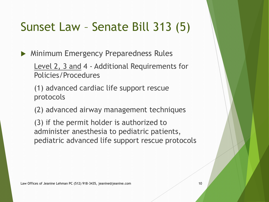### Sunset Law – Senate Bill 313 (5)

**Minimum Emergency Preparedness Rules** 

Level 2, 3 and 4 - Additional Requirements for Policies/Procedures

(1) advanced cardiac life support rescue protocols

(2) advanced airway management techniques

(3) if the permit holder is authorized to administer anesthesia to pediatric patients, pediatric advanced life support rescue protocols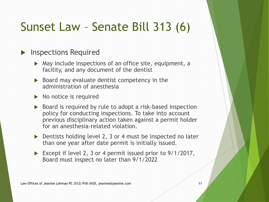### Sunset Law – Senate Bill 313 (6)

#### **Inspections Required**

- $\triangleright$  May include inspections of an office site, equipment, a facility, and any document of the dentist
- $\triangleright$  Board may evaluate dentist competency in the administration of anesthesia
- $\triangleright$  No notice is required
- ▶ Board is required by rule to adopt a risk-based inspection policy for conducting inspections. To take into account previous disciplinary action taken against a permit holder for an anesthesia-related violation.
- ▶ Dentists holding level 2, 3 or 4 must be inspected no later than one year after date permit is initially issued.
- Except if level 2, 3 or 4 permit issued prior to 9/1/2017, Board must inspect no later than 9/1/2022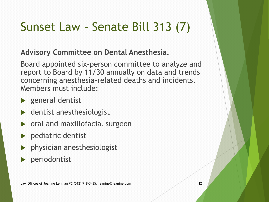### Sunset Law – Senate Bill 313 (7)

#### **Advisory Committee on Dental Anesthesia.**

Board appointed six-person committee to analyze and report to Board by 11/30 annually on data and trends concerning anesthesia-related deaths and incidents. Members must include:

- ▶ general dentist
- ▶ dentist anesthesiologist
- oral and maxillofacial surgeon
- pediatric dentist
- physician anesthesiologist
- periodontist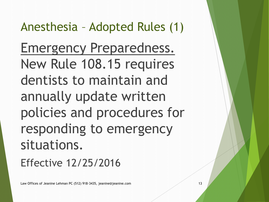Anesthesia – Adopted Rules (1) Emergency Preparedness. New Rule 108.15 requires dentists to maintain and annually update written policies and procedures for responding to emergency situations.

Effective 12/25/2016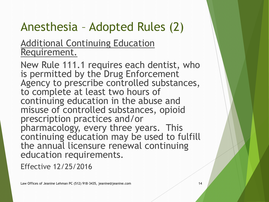### Anesthesia – Adopted Rules (2)

#### Additional Continuing Education Requirement.

New Rule 111.1 requires each dentist, who is permitted by the Drug Enforcement Agency to prescribe controlled substances, to complete at least two hours of continuing education in the abuse and misuse of controlled substances, opioid prescription practices and/or pharmacology, every three years. This continuing education may be used to fulfill the annual licensure renewal continuing education requirements.

Effective 12/25/2016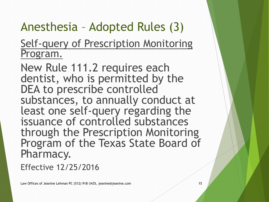### Anesthesia – Adopted Rules (3)

Self-query of Prescription Monitoring Program.

New Rule 111.2 requires each dentist, who is permitted by the DEA to prescribe controlled substances, to annually conduct at least one self-query regarding the issuance of controlled substances through the Prescription Monitoring Program of the Texas State Board of Pharmacy.

Effective 12/25/2016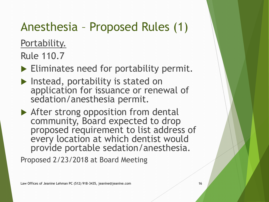### Anesthesia – Proposed Rules (1)

Portability.

Rule 110.7

Eliminates need for portability permit.

- **Instead, portability is stated on** application for issuance or renewal of sedation/anesthesia permit.
- ▶ After strong opposition from dental community, Board expected to drop proposed requirement to list address of every location at which dentist would provide portable sedation/anesthesia.

Proposed 2/23/2018 at Board Meeting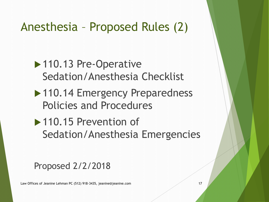### Anesthesia – Proposed Rules (2)

▶ 110.13 Pre-Operative Sedation/Anesthesia Checklist

- ▶ 110.14 Emergency Preparedness Policies and Procedures
- ▶ 110.15 Prevention of Sedation/Anesthesia Emergencies

#### Proposed 2/2/2018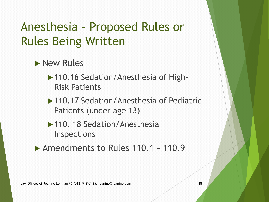### Anesthesia – Proposed Rules or Rules Being Written

- New Rules
	- ▶ 110.16 Sedation/Anesthesia of High-Risk Patients
	- ▶ 110.17 Sedation/Anesthesia of Pediatric Patients (under age 13)
	- ▶ 110. 18 Sedation/Anesthesia Inspections
- ▶ Amendments to Rules 110.1 110.9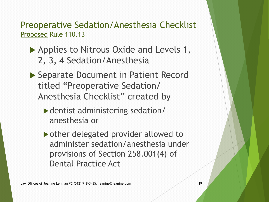Preoperative Sedation/Anesthesia Checklist Proposed Rule 110.13

- Applies to Nitrous Oxide and Levels 1, 2, 3, 4 Sedation/Anesthesia
- ▶ Separate Document in Patient Record titled "Preoperative Sedation/ Anesthesia Checklist" created by
	- dentist administering sedation/ anesthesia or
	- ▶ other delegated provider allowed to administer sedation/anesthesia under provisions of Section 258.001(4) of Dental Practice Act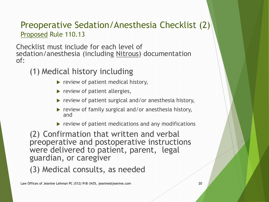#### Preoperative Sedation/Anesthesia Checklist (2) Proposed Rule 110.13

Checklist must include for each level of sedation/anesthesia (including Nitrous) documentation of:

#### (1) Medical history including

- $\blacktriangleright$  review of patient medical history,
- $\blacktriangleright$  review of patient allergies,
- $\triangleright$  review of patient surgical and/or anesthesia history,
- $\blacktriangleright$  review of family surgical and/or anesthesia history, and
- $\blacktriangleright$  review of patient medications and any modifications

(2) Confirmation that written and verbal preoperative and postoperative instructions were delivered to patient, parent, legal guardian, or caregiver

(3) Medical consults, as needed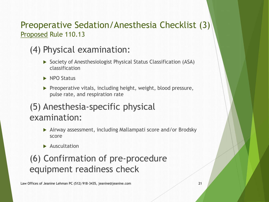#### Preoperative Sedation/Anesthesia Checklist (3) Proposed Rule 110.13

#### (4) Physical examination:

- ▶ Society of Anesthesiologist Physical Status Classification (ASA) classification
- $\blacktriangleright$  NPO Status
- $\blacktriangleright$  Preoperative vitals, including height, weight, blood pressure, pulse rate, and respiration rate

#### (5) Anesthesia-specific physical examination:

- Airway assessment, including Mallampati score and/or Brodsky score
- $\blacktriangleright$  Auscultation

#### (6) Confirmation of pre-procedure equipment readiness check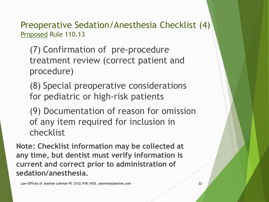Preoperative Sedation/Anesthesia Checklist (4) Proposed Rule 110.13

(7) Confirmation of pre-procedure treatment review (correct patient and procedure)

(8) Special preoperative considerations for pediatric or high-risk patients

(9) Documentation of reason for omission of any item required for inclusion in checklist

**Note: Checklist information may be collected at any time, but dentist must verify information is current and correct prior to administration of sedation/anesthesia.**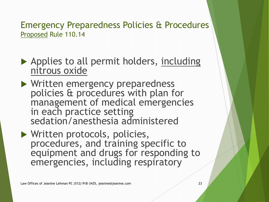Emergency Preparedness Policies & Procedures Proposed Rule 110.14

▶ Applies to all permit holders, including nitrous oxide

▶ Written emergency preparedness policies & procedures with plan for management of medical emergencies in each practice setting sedation/anesthesia administered

▶ Written protocols, policies, procedures, and training specific to equipment and drugs for responding to emergencies, including respiratory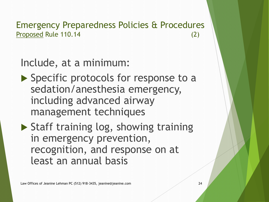Emergency Preparedness Policies & Procedures Proposed Rule 110.14 (2)

#### Include, at a minimum:

- ▶ Specific protocols for response to a sedation/anesthesia emergency, including advanced airway management techniques
- $\triangleright$  Staff training log, showing training in emergency prevention, recognition, and response on at least an annual basis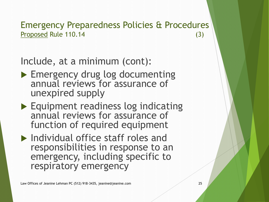Emergency Preparedness Policies & Procedures Proposed Rule 110.14 (3)

Include, at a minimum (cont):

- ▶ Emergency drug log documenting annual reviews for assurance of unexpired supply
- Equipment readiness log indicating annual reviews for assurance of function of required equipment
- Individual office staff roles and responsibilities in response to an emergency, including specific to respiratory emergency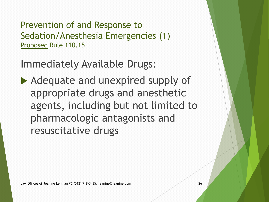Prevention of and Response to Sedation/Anesthesia Emergencies (1) Proposed Rule 110.15

Immediately Available Drugs:

Adequate and unexpired supply of appropriate drugs and anesthetic agents, including but not limited to pharmacologic antagonists and resuscitative drugs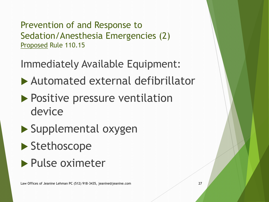Prevention of and Response to Sedation/Anesthesia Emergencies (2) Proposed Rule 110.15

Immediately Available Equipment:

- Automated external defibrillator
- **Positive pressure ventilation** device
- ▶ Supplemental oxygen
- ▶ Stethoscope
- **Pulse oximeter**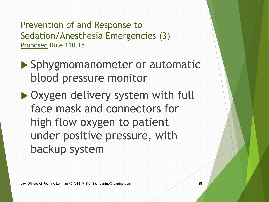Prevention of and Response to Sedation/Anesthesia Emergencies (3) Proposed Rule 110.15

- ▶ Sphygmomanometer or automatic blood pressure monitor
- ▶ Oxygen delivery system with full face mask and connectors for high flow oxygen to patient under positive pressure, with backup system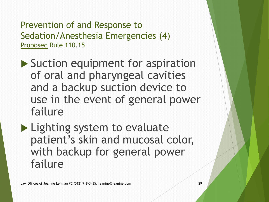Prevention of and Response to Sedation/Anesthesia Emergencies (4) Proposed Rule 110.15

▶ Suction equipment for aspiration of oral and pharyngeal cavities and a backup suction device to use in the event of general power failure

**Lighting system to evaluate** patient's skin and mucosal color, with backup for general power failure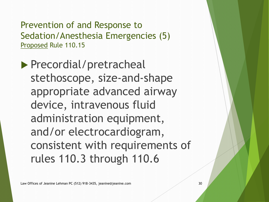Prevention of and Response to Sedation/Anesthesia Emergencies (5) Proposed Rule 110.15

Precordial/pretracheal stethoscope, size-and-shape appropriate advanced airway device, intravenous fluid administration equipment, and/or electrocardiogram, consistent with requirements of rules 110.3 through 110.6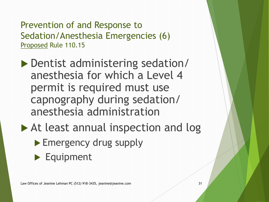Prevention of and Response to Sedation/Anesthesia Emergencies (6) Proposed Rule 110.15

- Dentist administering sedation/ anesthesia for which a Level 4 permit is required must use capnography during sedation/ anesthesia administration
- ▶ At least annual inspection and log
	- Emergency drug supply
	- Equipment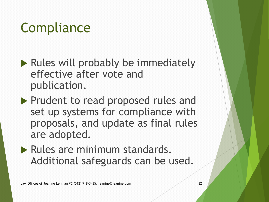## **Compliance**

- $\blacktriangleright$  Rules will probably be immediately effective after vote and publication.
- Prudent to read proposed rules and set up systems for compliance with proposals, and update as final rules are adopted.
- Rules are minimum standards. Additional safeguards can be used.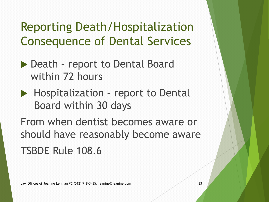### Reporting Death/Hospitalization Consequence of Dental Services

- ▶ Death report to Dental Board within 72 hours
- ▶ Hospitalization report to Dental Board within 30 days

From when dentist becomes aware or should have reasonably become aware TSBDE Rule 108.6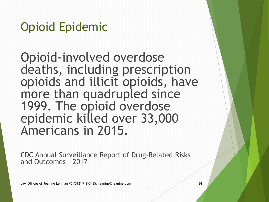Opioid Epidemic

Opioid-involved overdose deaths, including prescription opioids and illicit opioids, have more than quadrupled since 1999. The opioid overdose epidemic killed over 33,000 Americans in 2015.

CDC Annual Surveillance Report of Drug-Related Risks and Outcomes – 2017

Law Offices of Jeanine Lehman PC (512) 918-3435, jeanine@jeanine.com 34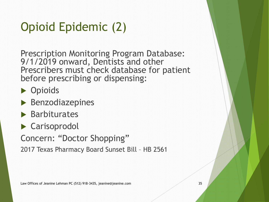### Opioid Epidemic (2)

Prescription Monitoring Program Database: 9/1/2019 onward, Dentists and other Prescribers must check database for patient before prescribing or dispensing:

**Department** 

- $\blacktriangleright$  Benzodiazepines
- $\blacktriangleright$  Barbiturates
- ▶ Carisoprodol

Concern: "Doctor Shopping"

2017 Texas Pharmacy Board Sunset Bill – HB 2561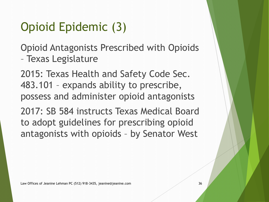### Opioid Epidemic (3)

Opioid Antagonists Prescribed with Opioids – Texas Legislature

2015: Texas Health and Safety Code Sec. 483.101 – expands ability to prescribe, possess and administer opioid antagonists

2017: SB 584 instructs Texas Medical Board to adopt guidelines for prescribing opioid antagonists with opioids – by Senator West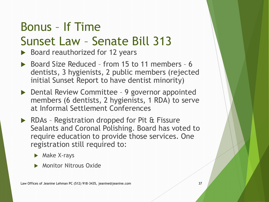#### Bonus – If Time Sunset Law – Senate Bill 313

 $\triangleright$  Board reauthorized for 12 years

- ▶ Board Size Reduced from 15 to 11 members 6 dentists, 3 hygienists, 2 public members (rejected initial Sunset Report to have dentist minority)
- ▶ Dental Review Committee 9 governor appointed members (6 dentists, 2 hygienists, 1 RDA) to serve at Informal Settlement Conferences
- ▶ RDAs Registration dropped for Pit & Fissure Sealants and Coronal Polishing. Board has voted to require education to provide those services. One registration still required to:
	- $\blacktriangleright$  Make X-rays
	- **Monitor Nitrous Oxide**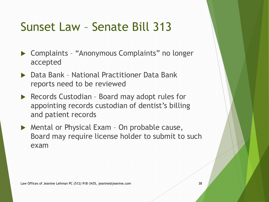### Sunset Law – Senate Bill 313

- ▶ Complaints "Anonymous Complaints" no longer accepted
- ▶ Data Bank National Practitioner Data Bank reports need to be reviewed
- ▶ Records Custodian Board may adopt rules for appointing records custodian of dentist's billing and patient records
- ▶ Mental or Physical Exam On probable cause, Board may require license holder to submit to such exam